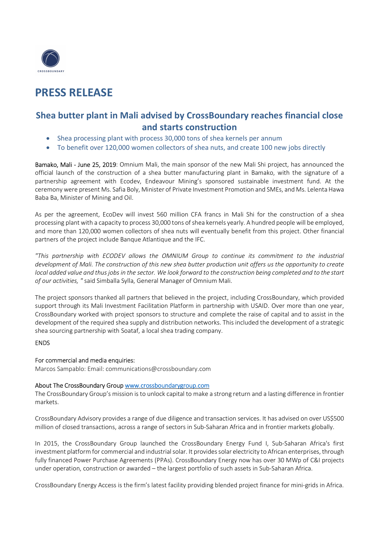

# PRESS RELEASE

## Shea butter plant in Mali advised by CrossBoundary reaches financial close and starts construction

- Shea processing plant with process 30,000 tons of shea kernels per annum
- To benefit over 120,000 women collectors of shea nuts, and create 100 new jobs directly

Bamako, Mali - June 25, 2019: Omnium Mali, the main sponsor of the new Mali Shi project, has announced the official launch of the construction of a shea butter manufacturing plant in Bamako, with the signature of a partnership agreement with Ecodev, Endeavour Mining's sponsored sustainable investment fund. At the ceremony were present Ms. Safia Boly, Minister of Private Investment Promotion and SMEs, and Ms. Lelenta Hawa Baba Ba, Minister of Mining and Oil.

As per the agreement, EcoDev will invest 560 million CFA francs in Mali Shi for the construction of a shea processing plant with a capacity to process 30,000 tons of shea kernels yearly. A hundred people will be employed, and more than 120,000 women collectors of shea nuts will eventually benefit from this project. Other financial partners of the project include Banque Atlantique and the IFC.

"This partnership with ECODEV allows the OMNIUM Group to continue its commitment to the industrial development of Mali. The construction of this new shea butter production unit offers us the opportunity to create local added value and thus jobs in the sector. We look forward to the construction being completed and to the start of our activities, " said Simballa Sylla, General Manager of Omnium Mali.

The project sponsors thanked all partners that believed in the project, including CrossBoundary, which provided support through its Mali Investment Facilitation Platform in partnership with USAID. Over more than one year, CrossBoundary worked with project sponsors to structure and complete the raise of capital and to assist in the development of the required shea supply and distribution networks. This included the development of a strategic shea sourcing partnership with Soataf, a local shea trading company.

### ENDS

### For commercial and media enquiries:

Marcos Sampablo: Email: communications@crossboundary.com

#### About The CrossBoundary Group www.crossboundarygroup.com

The CrossBoundary Group's mission is to unlock capital to make a strong return and a lasting difference in frontier markets.

CrossBoundary Advisory provides a range of due diligence and transaction services. It has advised on over US\$500 million of closed transactions, across a range of sectors in Sub-Saharan Africa and in frontier markets globally.

In 2015, the CrossBoundary Group launched the CrossBoundary Energy Fund I, Sub-Saharan Africa's first investment platform for commercial and industrial solar. It provides solar electricity to African enterprises, through fully financed Power Purchase Agreements (PPAs). CrossBoundary Energy now has over 30 MWp of C&I projects under operation, construction or awarded – the largest portfolio of such assets in Sub-Saharan Africa.

CrossBoundary Energy Access is the firm's latest facility providing blended project finance for mini-grids in Africa.